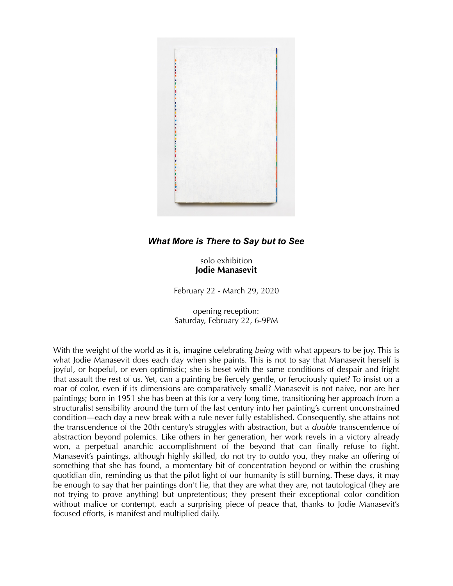

## *What More is There to Say but to See*

solo exhibition **Jodie Manasevit**

February 22 - March 29, 2020

opening reception: Saturday, February 22, 6-9PM

With the weight of the world as it is, imagine celebrating *being* with what appears to be joy. This is what Jodie Manasevit does each day when she paints. This is not to say that Manasevit herself is joyful, or hopeful, or even optimistic; she is beset with the same conditions of despair and fright that assault the rest of us. Yet, can a painting be fiercely gentle, or ferociously quiet? To insist on a roar of color, even if its dimensions are comparatively small? Manasevit is not naive, nor are her paintings; born in 1951 she has been at this for a very long time, transitioning her approach from a structuralist sensibility around the turn of the last century into her painting's current unconstrained condition––each day a new break with a rule never fully established. Consequently, she attains not the transcendence of the 20th century's struggles with abstraction, but a *double* transcendence of abstraction beyond polemics. Like others in her generation, her work revels in a victory already won, a perpetual anarchic accomplishment of the beyond that can finally refuse to fight. Manasevit's paintings, although highly skilled, do not try to outdo you, they make an offering of something that she has found, a momentary bit of concentration beyond or within the crushing quotidian din, reminding us that the pilot light of our humanity is still burning. These days, it may be enough to say that her paintings don't lie, that they are what they are, not tautological (they are not trying to prove anything) but unpretentious; they present their exceptional color condition without malice or contempt, each a surprising piece of peace that, thanks to Jodie Manasevit's focused efforts, is manifest and multiplied daily.